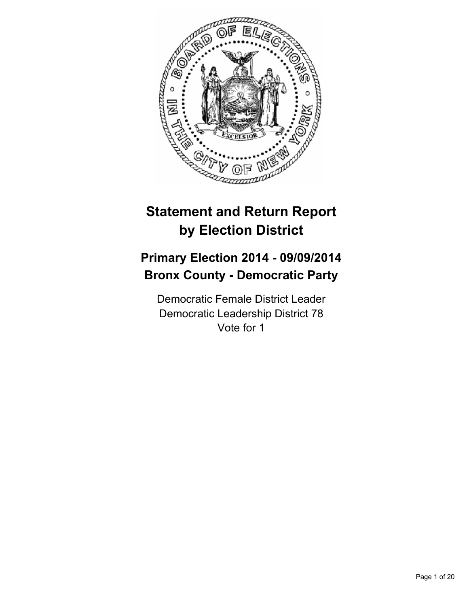

# **Statement and Return Report by Election District**

# **Primary Election 2014 - 09/09/2014 Bronx County - Democratic Party**

Democratic Female District Leader Democratic Leadership District 78 Vote for 1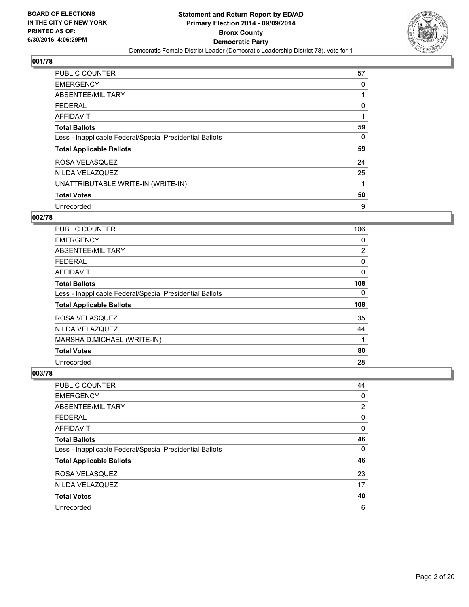

| <b>PUBLIC COUNTER</b>                                    | 57 |
|----------------------------------------------------------|----|
| <b>EMERGENCY</b>                                         | 0  |
| ABSENTEE/MILITARY                                        |    |
| <b>FEDERAL</b>                                           | 0  |
| AFFIDAVIT                                                |    |
| <b>Total Ballots</b>                                     | 59 |
| Less - Inapplicable Federal/Special Presidential Ballots | 0  |
| <b>Total Applicable Ballots</b>                          | 59 |
| ROSA VELASQUEZ                                           | 24 |
| NILDA VELAZQUEZ                                          | 25 |
| UNATTRIBUTABLE WRITE-IN (WRITE-IN)                       | 1  |
| <b>Total Votes</b>                                       | 50 |
| Unrecorded                                               | 9  |

## **002/78**

| PUBLIC COUNTER                                           | 106 |
|----------------------------------------------------------|-----|
| <b>EMERGENCY</b>                                         | 0   |
| ABSENTEE/MILITARY                                        | 2   |
| <b>FEDERAL</b>                                           | 0   |
| <b>AFFIDAVIT</b>                                         | 0   |
| <b>Total Ballots</b>                                     | 108 |
| Less - Inapplicable Federal/Special Presidential Ballots | 0   |
| <b>Total Applicable Ballots</b>                          | 108 |
| ROSA VELASQUEZ                                           | 35  |
| NILDA VELAZQUEZ                                          | 44  |
| MARSHA D.MICHAEL (WRITE-IN)                              | 1   |
| <b>Total Votes</b>                                       | 80  |
| Unrecorded                                               | 28  |

| PUBLIC COUNTER                                           | 44             |
|----------------------------------------------------------|----------------|
| <b>EMERGENCY</b>                                         | 0              |
| ABSENTEE/MILITARY                                        | $\overline{2}$ |
| <b>FEDERAL</b>                                           | 0              |
| <b>AFFIDAVIT</b>                                         | 0              |
| <b>Total Ballots</b>                                     | 46             |
| Less - Inapplicable Federal/Special Presidential Ballots | 0              |
| <b>Total Applicable Ballots</b>                          | 46             |
| ROSA VELASQUEZ                                           | 23             |
| NILDA VELAZQUEZ                                          | 17             |
| <b>Total Votes</b>                                       | 40             |
| Unrecorded                                               | 6              |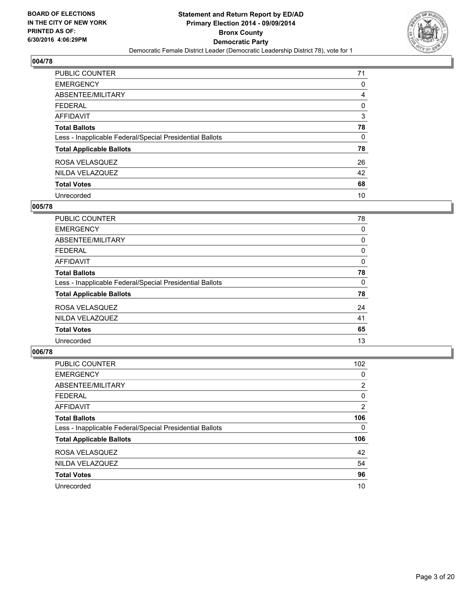

| PUBLIC COUNTER                                           | 71 |
|----------------------------------------------------------|----|
| <b>EMERGENCY</b>                                         | 0  |
| ABSENTEE/MILITARY                                        | 4  |
| <b>FEDERAL</b>                                           | 0  |
| <b>AFFIDAVIT</b>                                         | 3  |
| <b>Total Ballots</b>                                     | 78 |
| Less - Inapplicable Federal/Special Presidential Ballots | 0  |
| <b>Total Applicable Ballots</b>                          | 78 |
| ROSA VELASQUEZ                                           | 26 |
| NILDA VELAZQUEZ                                          | 42 |
| <b>Total Votes</b>                                       | 68 |
| Unrecorded                                               | 10 |

#### **005/78**

| <b>PUBLIC COUNTER</b>                                    | 78 |
|----------------------------------------------------------|----|
| <b>EMERGENCY</b>                                         | 0  |
| ABSENTEE/MILITARY                                        | 0  |
| <b>FEDERAL</b>                                           | 0  |
| AFFIDAVIT                                                | 0  |
| <b>Total Ballots</b>                                     | 78 |
| Less - Inapplicable Federal/Special Presidential Ballots | 0  |
| <b>Total Applicable Ballots</b>                          | 78 |
| ROSA VELASQUEZ                                           | 24 |
| NILDA VELAZQUEZ                                          | 41 |
| <b>Total Votes</b>                                       | 65 |
| Unrecorded                                               | 13 |
|                                                          |    |

| PUBLIC COUNTER                                           | 102            |
|----------------------------------------------------------|----------------|
| <b>EMERGENCY</b>                                         | 0              |
| ABSENTEE/MILITARY                                        | $\overline{2}$ |
| <b>FEDERAL</b>                                           | 0              |
| <b>AFFIDAVIT</b>                                         | $\overline{2}$ |
| <b>Total Ballots</b>                                     | 106            |
| Less - Inapplicable Federal/Special Presidential Ballots | 0              |
| <b>Total Applicable Ballots</b>                          | 106            |
| ROSA VELASQUEZ                                           | 42             |
| NILDA VELAZQUEZ                                          | 54             |
| <b>Total Votes</b>                                       | 96             |
| Unrecorded                                               | 10             |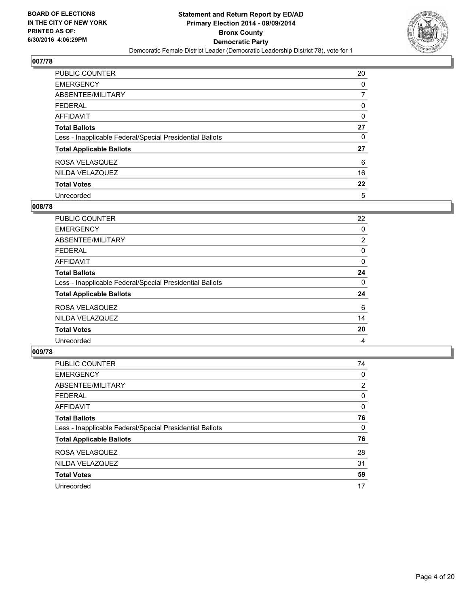

| <b>PUBLIC COUNTER</b>                                    | 20 |
|----------------------------------------------------------|----|
| <b>EMERGENCY</b>                                         | 0  |
| ABSENTEE/MILITARY                                        | 7  |
| <b>FEDERAL</b>                                           | 0  |
| AFFIDAVIT                                                | 0  |
| <b>Total Ballots</b>                                     | 27 |
| Less - Inapplicable Federal/Special Presidential Ballots | 0  |
| <b>Total Applicable Ballots</b>                          | 27 |
| ROSA VELASQUEZ                                           | 6  |
| NILDA VELAZQUEZ                                          | 16 |
| <b>Total Votes</b>                                       | 22 |
| Unrecorded                                               | 5  |

#### **008/78**

| PUBLIC COUNTER                                           | 22 |
|----------------------------------------------------------|----|
| <b>EMERGENCY</b>                                         | 0  |
| ABSENTEE/MILITARY                                        | 2  |
| <b>FEDERAL</b>                                           | 0  |
| <b>AFFIDAVIT</b>                                         | 0  |
| <b>Total Ballots</b>                                     | 24 |
| Less - Inapplicable Federal/Special Presidential Ballots | 0  |
| <b>Total Applicable Ballots</b>                          | 24 |
| ROSA VELASQUEZ                                           | 6  |
| NILDA VELAZQUEZ                                          | 14 |
| <b>Total Votes</b>                                       | 20 |
| Unrecorded                                               | 4  |
|                                                          |    |

| PUBLIC COUNTER                                           | 74 |
|----------------------------------------------------------|----|
| <b>EMERGENCY</b>                                         | 0  |
| ABSENTEE/MILITARY                                        | 2  |
| <b>FEDERAL</b>                                           | 0  |
| <b>AFFIDAVIT</b>                                         | 0  |
| <b>Total Ballots</b>                                     | 76 |
| Less - Inapplicable Federal/Special Presidential Ballots | 0  |
| <b>Total Applicable Ballots</b>                          | 76 |
| ROSA VELASQUEZ                                           | 28 |
| NILDA VELAZQUEZ                                          | 31 |
| <b>Total Votes</b>                                       | 59 |
| Unrecorded                                               | 17 |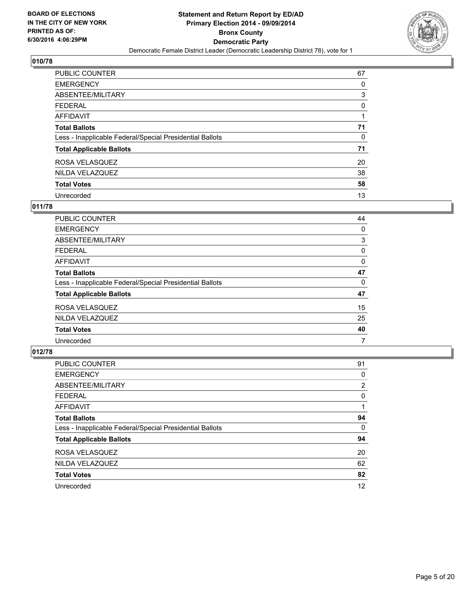

| PUBLIC COUNTER                                           | 67 |
|----------------------------------------------------------|----|
| <b>EMERGENCY</b>                                         | 0  |
| ABSENTEE/MILITARY                                        | 3  |
| <b>FEDERAL</b>                                           | 0  |
| <b>AFFIDAVIT</b>                                         |    |
| <b>Total Ballots</b>                                     | 71 |
| Less - Inapplicable Federal/Special Presidential Ballots | 0  |
| <b>Total Applicable Ballots</b>                          | 71 |
| ROSA VELASQUEZ                                           | 20 |
| NILDA VELAZQUEZ                                          | 38 |
| <b>Total Votes</b>                                       | 58 |
| Unrecorded                                               | 13 |

## **011/78**

| PUBLIC COUNTER                                           | 44 |
|----------------------------------------------------------|----|
| <b>EMERGENCY</b>                                         | 0  |
| ABSENTEE/MILITARY                                        | 3  |
| <b>FEDERAL</b>                                           | 0  |
| <b>AFFIDAVIT</b>                                         | 0  |
| <b>Total Ballots</b>                                     | 47 |
| Less - Inapplicable Federal/Special Presidential Ballots | 0  |
| <b>Total Applicable Ballots</b>                          | 47 |
| ROSA VELASQUEZ                                           | 15 |
| NILDA VELAZQUEZ                                          | 25 |
| <b>Total Votes</b>                                       | 40 |
| Unrecorded                                               | 7  |
|                                                          |    |

| <b>PUBLIC COUNTER</b>                                    | 91             |
|----------------------------------------------------------|----------------|
| <b>EMERGENCY</b>                                         | 0              |
| ABSENTEE/MILITARY                                        | $\overline{2}$ |
| <b>FEDERAL</b>                                           | 0              |
| AFFIDAVIT                                                |                |
| <b>Total Ballots</b>                                     | 94             |
| Less - Inapplicable Federal/Special Presidential Ballots | 0              |
| <b>Total Applicable Ballots</b>                          | 94             |
| ROSA VELASQUEZ                                           | 20             |
| NILDA VELAZQUEZ                                          | 62             |
| <b>Total Votes</b>                                       | 82             |
| Unrecorded                                               | 12             |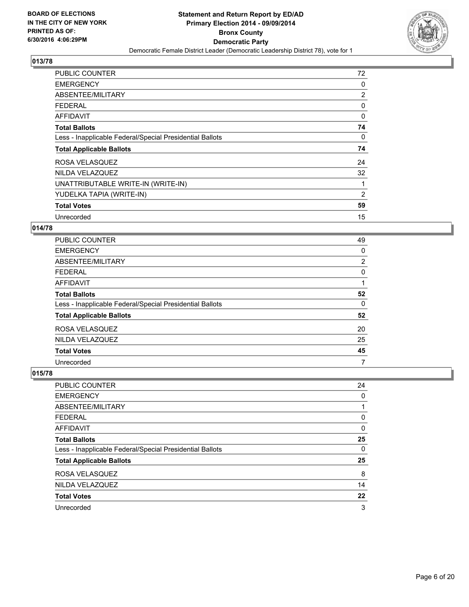

| <b>PUBLIC COUNTER</b>                                    | 72 |
|----------------------------------------------------------|----|
| <b>EMERGENCY</b>                                         | 0  |
| ABSENTEE/MILITARY                                        | 2  |
| <b>FEDERAL</b>                                           | 0  |
| <b>AFFIDAVIT</b>                                         | 0  |
| <b>Total Ballots</b>                                     | 74 |
| Less - Inapplicable Federal/Special Presidential Ballots | 0  |
| <b>Total Applicable Ballots</b>                          | 74 |
|                                                          |    |
| ROSA VELASQUEZ                                           | 24 |
| NILDA VELAZQUEZ                                          | 32 |
| UNATTRIBUTABLE WRITE-IN (WRITE-IN)                       | 1  |
| YUDELKA TAPIA (WRITE-IN)                                 | 2  |
| <b>Total Votes</b>                                       | 59 |

#### **014/78**

| PUBLIC COUNTER                                           | 49                    |
|----------------------------------------------------------|-----------------------|
| <b>EMERGENCY</b>                                         | 0                     |
| ABSENTEE/MILITARY                                        | $\mathbf{2}^{\prime}$ |
| FEDERAL                                                  | 0                     |
| AFFIDAVIT                                                |                       |
| <b>Total Ballots</b>                                     | 52                    |
| Less - Inapplicable Federal/Special Presidential Ballots | 0                     |
| <b>Total Applicable Ballots</b>                          | 52                    |
| ROSA VELASQUEZ                                           | 20                    |
| NILDA VELAZQUEZ                                          | 25                    |
| <b>Total Votes</b>                                       | 45                    |
| Unrecorded                                               | 7                     |

| <b>PUBLIC COUNTER</b>                                    | 24 |
|----------------------------------------------------------|----|
| <b>EMERGENCY</b>                                         | 0  |
| ABSENTEE/MILITARY                                        |    |
| <b>FEDERAL</b>                                           | 0  |
| AFFIDAVIT                                                | 0  |
| <b>Total Ballots</b>                                     | 25 |
| Less - Inapplicable Federal/Special Presidential Ballots | 0  |
| <b>Total Applicable Ballots</b>                          | 25 |
| ROSA VELASQUEZ                                           | 8  |
| NILDA VELAZQUEZ                                          | 14 |
| <b>Total Votes</b>                                       | 22 |
| Unrecorded                                               | 3  |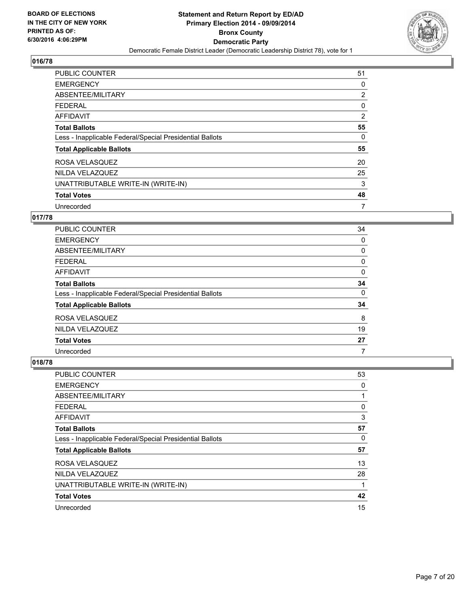

| <b>PUBLIC COUNTER</b>                                    | 51 |
|----------------------------------------------------------|----|
| <b>EMERGENCY</b>                                         | 0  |
| ABSENTEE/MILITARY                                        | 2  |
| <b>FEDERAL</b>                                           | 0  |
| <b>AFFIDAVIT</b>                                         | 2  |
| <b>Total Ballots</b>                                     | 55 |
| Less - Inapplicable Federal/Special Presidential Ballots | 0  |
| <b>Total Applicable Ballots</b>                          | 55 |
| ROSA VELASQUEZ                                           | 20 |
| NILDA VELAZQUEZ                                          | 25 |
| UNATTRIBUTABLE WRITE-IN (WRITE-IN)                       | 3  |
| <b>Total Votes</b>                                       | 48 |
| Unrecorded                                               | 7  |

## **017/78**

| <b>PUBLIC COUNTER</b>                                    | 34 |
|----------------------------------------------------------|----|
| <b>EMERGENCY</b>                                         | 0  |
| ABSENTEE/MILITARY                                        | 0  |
| <b>FEDERAL</b>                                           | 0  |
| AFFIDAVIT                                                | 0  |
| <b>Total Ballots</b>                                     | 34 |
| Less - Inapplicable Federal/Special Presidential Ballots | 0  |
| <b>Total Applicable Ballots</b>                          | 34 |
| ROSA VELASQUEZ                                           | 8  |
| NILDA VELAZQUEZ                                          | 19 |
| <b>Total Votes</b>                                       | 27 |
| Unrecorded                                               | 7  |

| <b>PUBLIC COUNTER</b>                                    | 53 |
|----------------------------------------------------------|----|
| <b>EMERGENCY</b>                                         | 0  |
| ABSENTEE/MILITARY                                        | 1  |
| <b>FEDERAL</b>                                           | 0  |
| AFFIDAVIT                                                | 3  |
| <b>Total Ballots</b>                                     | 57 |
| Less - Inapplicable Federal/Special Presidential Ballots | 0  |
| <b>Total Applicable Ballots</b>                          | 57 |
| ROSA VELASQUEZ                                           | 13 |
| NILDA VELAZQUEZ                                          | 28 |
| UNATTRIBUTABLE WRITE-IN (WRITE-IN)                       |    |
| <b>Total Votes</b>                                       | 42 |
| Unrecorded                                               | 15 |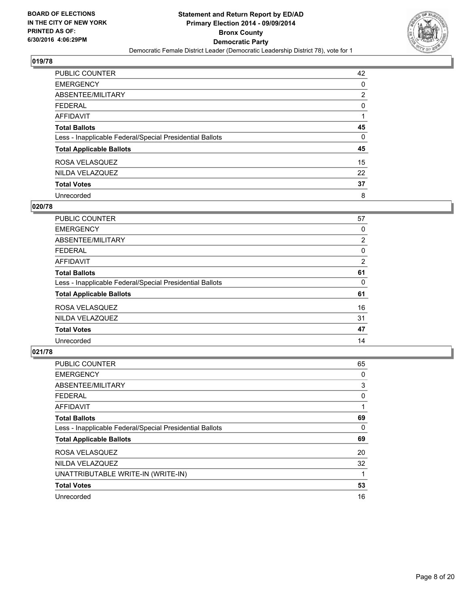

| PUBLIC COUNTER                                           | 42 |
|----------------------------------------------------------|----|
| <b>EMERGENCY</b>                                         | 0  |
| ABSENTEE/MILITARY                                        | 2  |
| <b>FEDERAL</b>                                           | 0  |
| <b>AFFIDAVIT</b>                                         |    |
| <b>Total Ballots</b>                                     | 45 |
| Less - Inapplicable Federal/Special Presidential Ballots | 0  |
| <b>Total Applicable Ballots</b>                          | 45 |
| ROSA VELASQUEZ                                           | 15 |
| NILDA VELAZQUEZ                                          | 22 |
| <b>Total Votes</b>                                       | 37 |
| Unrecorded                                               | 8  |

#### **020/78**

| PUBLIC COUNTER                                           | 57             |
|----------------------------------------------------------|----------------|
| <b>EMERGENCY</b>                                         | 0              |
| ABSENTEE/MILITARY                                        | $\overline{2}$ |
| <b>FEDERAL</b>                                           | 0              |
| <b>AFFIDAVIT</b>                                         | 2              |
| <b>Total Ballots</b>                                     | 61             |
| Less - Inapplicable Federal/Special Presidential Ballots | 0              |
| <b>Total Applicable Ballots</b>                          | 61             |
| ROSA VELASQUEZ                                           | 16             |
| NILDA VELAZQUEZ                                          | 31             |
| <b>Total Votes</b>                                       | 47             |
| Unrecorded                                               | 14             |
|                                                          |                |

| <b>PUBLIC COUNTER</b>                                    | 65 |
|----------------------------------------------------------|----|
| <b>EMERGENCY</b>                                         | 0  |
| ABSENTEE/MILITARY                                        | 3  |
| <b>FEDERAL</b>                                           | 0  |
| <b>AFFIDAVIT</b>                                         |    |
| <b>Total Ballots</b>                                     | 69 |
| Less - Inapplicable Federal/Special Presidential Ballots | 0  |
| <b>Total Applicable Ballots</b>                          | 69 |
| ROSA VELASQUEZ                                           | 20 |
| NILDA VELAZQUEZ                                          | 32 |
| UNATTRIBUTABLE WRITE-IN (WRITE-IN)                       |    |
| <b>Total Votes</b>                                       | 53 |
| Unrecorded                                               | 16 |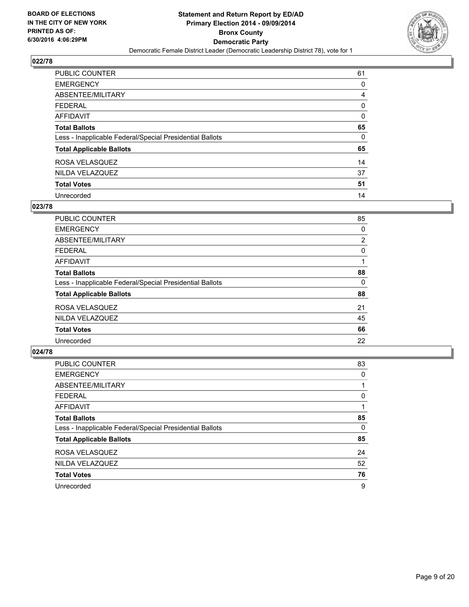

| PUBLIC COUNTER                                           | 61 |
|----------------------------------------------------------|----|
| <b>EMERGENCY</b>                                         | 0  |
| ABSENTEE/MILITARY                                        | 4  |
| <b>FEDERAL</b>                                           | 0  |
| <b>AFFIDAVIT</b>                                         | 0  |
| <b>Total Ballots</b>                                     | 65 |
| Less - Inapplicable Federal/Special Presidential Ballots | 0  |
| <b>Total Applicable Ballots</b>                          | 65 |
| ROSA VELASQUEZ                                           | 14 |
| NILDA VELAZQUEZ                                          | 37 |
| <b>Total Votes</b>                                       | 51 |
| Unrecorded                                               | 14 |

## **023/78**

| PUBLIC COUNTER                                           | 85 |
|----------------------------------------------------------|----|
| <b>EMERGENCY</b>                                         | 0  |
| ABSENTEE/MILITARY                                        | 2  |
| <b>FEDERAL</b>                                           | 0  |
| <b>AFFIDAVIT</b>                                         |    |
| <b>Total Ballots</b>                                     | 88 |
| Less - Inapplicable Federal/Special Presidential Ballots | 0  |
| <b>Total Applicable Ballots</b>                          | 88 |
| ROSA VELASQUEZ                                           | 21 |
| NILDA VELAZQUEZ                                          | 45 |
| <b>Total Votes</b>                                       | 66 |
| Unrecorded                                               | 22 |
|                                                          |    |

| PUBLIC COUNTER                                           | 83 |
|----------------------------------------------------------|----|
| <b>EMERGENCY</b>                                         | 0  |
| ABSENTEE/MILITARY                                        |    |
| <b>FEDERAL</b>                                           | 0  |
| <b>AFFIDAVIT</b>                                         |    |
| <b>Total Ballots</b>                                     | 85 |
| Less - Inapplicable Federal/Special Presidential Ballots | 0  |
| <b>Total Applicable Ballots</b>                          | 85 |
| ROSA VELASQUEZ                                           | 24 |
| NILDA VELAZQUEZ                                          | 52 |
| <b>Total Votes</b>                                       | 76 |
| Unrecorded                                               | 9  |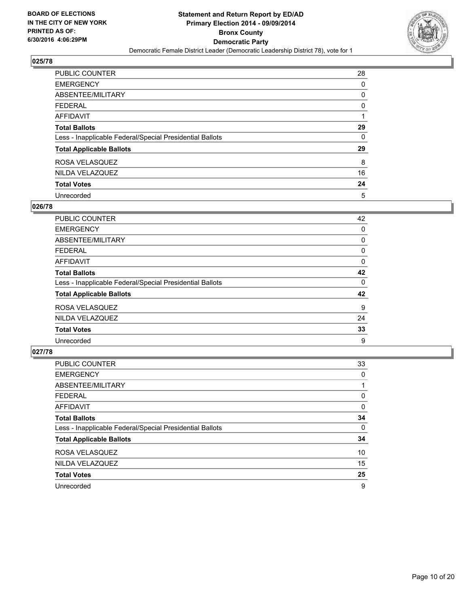

| PUBLIC COUNTER                                           | 28 |
|----------------------------------------------------------|----|
| <b>EMERGENCY</b>                                         | 0  |
| ABSENTEE/MILITARY                                        | 0  |
| <b>FEDERAL</b>                                           | 0  |
| <b>AFFIDAVIT</b>                                         |    |
| <b>Total Ballots</b>                                     | 29 |
| Less - Inapplicable Federal/Special Presidential Ballots | 0  |
| <b>Total Applicable Ballots</b>                          | 29 |
| ROSA VELASQUEZ                                           | 8  |
| NILDA VELAZQUEZ                                          | 16 |
| <b>Total Votes</b>                                       | 24 |
| Unrecorded                                               | 5  |

#### **026/78**

| <b>PUBLIC COUNTER</b>                                    | 42 |
|----------------------------------------------------------|----|
| <b>EMERGENCY</b>                                         | 0  |
| ABSENTEE/MILITARY                                        | 0  |
| FEDERAL                                                  | 0  |
| <b>AFFIDAVIT</b>                                         | 0  |
| <b>Total Ballots</b>                                     | 42 |
| Less - Inapplicable Federal/Special Presidential Ballots | 0  |
| <b>Total Applicable Ballots</b>                          | 42 |
| ROSA VELASQUEZ                                           | 9  |
| NILDA VELAZQUEZ                                          | 24 |
| <b>Total Votes</b>                                       | 33 |
| Unrecorded                                               | 9  |

| PUBLIC COUNTER                                           | 33 |
|----------------------------------------------------------|----|
| <b>EMERGENCY</b>                                         | 0  |
| ABSENTEE/MILITARY                                        |    |
| <b>FEDERAL</b>                                           | 0  |
| <b>AFFIDAVIT</b>                                         | 0  |
| <b>Total Ballots</b>                                     | 34 |
| Less - Inapplicable Federal/Special Presidential Ballots | 0  |
| <b>Total Applicable Ballots</b>                          | 34 |
| ROSA VELASQUEZ                                           | 10 |
| NILDA VELAZQUEZ                                          | 15 |
| <b>Total Votes</b>                                       | 25 |
| Unrecorded                                               | 9  |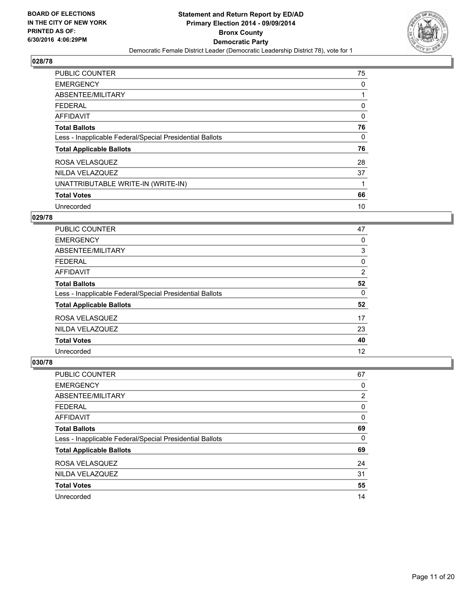

| <b>PUBLIC COUNTER</b>                                    | 75 |
|----------------------------------------------------------|----|
| <b>EMERGENCY</b>                                         | 0  |
| ABSENTEE/MILITARY                                        |    |
| <b>FEDERAL</b>                                           | 0  |
| AFFIDAVIT                                                | 0  |
| <b>Total Ballots</b>                                     | 76 |
| Less - Inapplicable Federal/Special Presidential Ballots | 0  |
| <b>Total Applicable Ballots</b>                          | 76 |
| ROSA VELASQUEZ                                           | 28 |
| NILDA VELAZQUEZ                                          | 37 |
| UNATTRIBUTABLE WRITE-IN (WRITE-IN)                       | 1  |
| <b>Total Votes</b>                                       | 66 |
| Unrecorded                                               | 10 |

## **029/78**

| <b>PUBLIC COUNTER</b>                                    | 47 |
|----------------------------------------------------------|----|
| <b>EMERGENCY</b>                                         | 0  |
| ABSENTEE/MILITARY                                        | 3  |
| FEDERAL                                                  | 0  |
| AFFIDAVIT                                                | 2  |
| <b>Total Ballots</b>                                     | 52 |
| Less - Inapplicable Federal/Special Presidential Ballots | 0  |
| <b>Total Applicable Ballots</b>                          | 52 |
| ROSA VELASQUEZ                                           | 17 |
| NILDA VELAZQUEZ                                          | 23 |
| <b>Total Votes</b>                                       | 40 |
| Unrecorded                                               | 12 |

| <b>PUBLIC COUNTER</b>                                    | 67             |
|----------------------------------------------------------|----------------|
| <b>EMERGENCY</b>                                         | 0              |
| ABSENTEE/MILITARY                                        | $\overline{2}$ |
| <b>FEDERAL</b>                                           | 0              |
| AFFIDAVIT                                                | 0              |
| <b>Total Ballots</b>                                     | 69             |
| Less - Inapplicable Federal/Special Presidential Ballots | 0              |
| <b>Total Applicable Ballots</b>                          | 69             |
| ROSA VELASQUEZ                                           | 24             |
| NILDA VELAZQUEZ                                          | 31             |
| <b>Total Votes</b>                                       | 55             |
| Unrecorded                                               | 14             |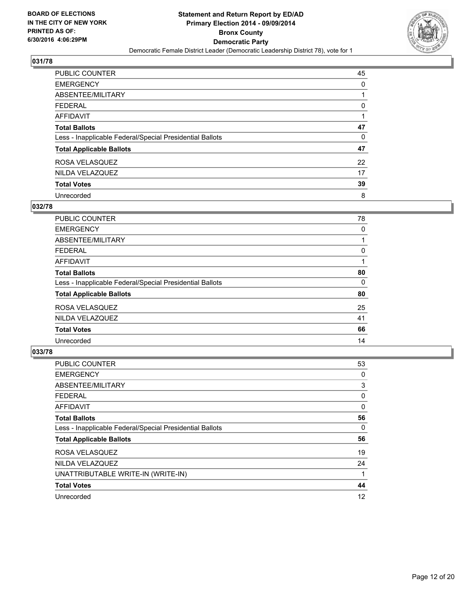

| PUBLIC COUNTER                                           | 45 |
|----------------------------------------------------------|----|
| <b>EMERGENCY</b>                                         | 0  |
| ABSENTEE/MILITARY                                        |    |
| <b>FEDERAL</b>                                           | 0  |
| <b>AFFIDAVIT</b>                                         |    |
| <b>Total Ballots</b>                                     | 47 |
| Less - Inapplicable Federal/Special Presidential Ballots | 0  |
| <b>Total Applicable Ballots</b>                          | 47 |
| ROSA VELASQUEZ                                           | 22 |
| NILDA VELAZQUEZ                                          | 17 |
| <b>Total Votes</b>                                       | 39 |
| Unrecorded                                               | 8  |

## **032/78**

| PUBLIC COUNTER                                           | 78 |
|----------------------------------------------------------|----|
| <b>EMERGENCY</b>                                         | 0  |
| ABSENTEE/MILITARY                                        |    |
| <b>FEDERAL</b>                                           | 0  |
| <b>AFFIDAVIT</b>                                         |    |
| <b>Total Ballots</b>                                     | 80 |
| Less - Inapplicable Federal/Special Presidential Ballots | 0  |
| <b>Total Applicable Ballots</b>                          | 80 |
| ROSA VELASQUEZ                                           | 25 |
| NILDA VELAZQUEZ                                          | 41 |
| <b>Total Votes</b>                                       | 66 |
| Unrecorded                                               | 14 |
|                                                          |    |

| <b>PUBLIC COUNTER</b>                                    | 53 |
|----------------------------------------------------------|----|
| <b>EMERGENCY</b>                                         | 0  |
| ABSENTEE/MILITARY                                        | 3  |
| <b>FEDERAL</b>                                           | 0  |
| <b>AFFIDAVIT</b>                                         | 0  |
| <b>Total Ballots</b>                                     | 56 |
| Less - Inapplicable Federal/Special Presidential Ballots | 0  |
| <b>Total Applicable Ballots</b>                          | 56 |
| ROSA VELASQUEZ                                           | 19 |
| NILDA VELAZQUEZ                                          | 24 |
| UNATTRIBUTABLE WRITE-IN (WRITE-IN)                       |    |
| <b>Total Votes</b>                                       | 44 |
| Unrecorded                                               | 12 |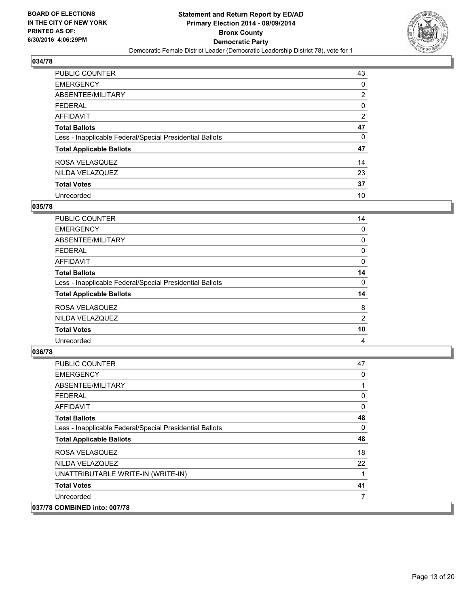

| PUBLIC COUNTER                                           | 43             |
|----------------------------------------------------------|----------------|
| <b>EMERGENCY</b>                                         | 0              |
| ABSENTEE/MILITARY                                        | $\overline{2}$ |
| <b>FEDERAL</b>                                           | 0              |
| <b>AFFIDAVIT</b>                                         | $\overline{2}$ |
| <b>Total Ballots</b>                                     | 47             |
| Less - Inapplicable Federal/Special Presidential Ballots | 0              |
| <b>Total Applicable Ballots</b>                          | 47             |
| ROSA VELASQUEZ                                           | 14             |
| NILDA VELAZQUEZ                                          | 23             |
| <b>Total Votes</b>                                       | 37             |
| Unrecorded                                               | 10             |

## **035/78**

| PUBLIC COUNTER                                           | 14 |
|----------------------------------------------------------|----|
| <b>EMERGENCY</b>                                         | 0  |
| ABSENTEE/MILITARY                                        | 0  |
| <b>FEDERAL</b>                                           | 0  |
| <b>AFFIDAVIT</b>                                         | 0  |
| <b>Total Ballots</b>                                     | 14 |
| Less - Inapplicable Federal/Special Presidential Ballots | 0  |
| <b>Total Applicable Ballots</b>                          | 14 |
| ROSA VELASQUEZ                                           | 8  |
| NILDA VELAZQUEZ                                          | 2  |
| <b>Total Votes</b>                                       | 10 |
| Unrecorded                                               | 4  |
|                                                          |    |

| <b>PUBLIC COUNTER</b>                                    | 47 |
|----------------------------------------------------------|----|
| <b>EMERGENCY</b>                                         | 0  |
| ABSENTEE/MILITARY                                        |    |
| <b>FEDERAL</b>                                           | 0  |
| <b>AFFIDAVIT</b>                                         | 0  |
| <b>Total Ballots</b>                                     | 48 |
| Less - Inapplicable Federal/Special Presidential Ballots | 0  |
| <b>Total Applicable Ballots</b>                          | 48 |
| ROSA VELASQUEZ                                           | 18 |
| NILDA VELAZQUEZ                                          | 22 |
| UNATTRIBUTABLE WRITE-IN (WRITE-IN)                       | 1  |
| <b>Total Votes</b>                                       | 41 |
| Unrecorded                                               | 7  |
| 037/78 COMBINED into: 007/78                             |    |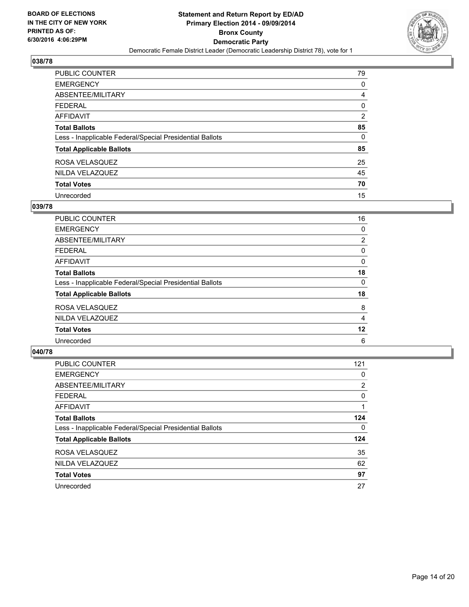

| <b>PUBLIC COUNTER</b>                                    | 79             |
|----------------------------------------------------------|----------------|
| <b>EMERGENCY</b>                                         | 0              |
| ABSENTEE/MILITARY                                        | 4              |
| <b>FEDERAL</b>                                           | 0              |
| <b>AFFIDAVIT</b>                                         | $\overline{2}$ |
| <b>Total Ballots</b>                                     | 85             |
| Less - Inapplicable Federal/Special Presidential Ballots | 0              |
| <b>Total Applicable Ballots</b>                          | 85             |
| ROSA VELASQUEZ                                           | 25             |
| NILDA VELAZQUEZ                                          | 45             |
| <b>Total Votes</b>                                       | 70             |
| Unrecorded                                               | 15             |

#### **039/78**

| PUBLIC COUNTER                                           | 16 |
|----------------------------------------------------------|----|
| <b>EMERGENCY</b>                                         | 0  |
| ABSENTEE/MILITARY                                        | 2  |
| <b>FEDERAL</b>                                           | 0  |
| <b>AFFIDAVIT</b>                                         | 0  |
| <b>Total Ballots</b>                                     | 18 |
| Less - Inapplicable Federal/Special Presidential Ballots | 0  |
| <b>Total Applicable Ballots</b>                          | 18 |
| ROSA VELASQUEZ                                           | 8  |
| NILDA VELAZQUEZ                                          | 4  |
| <b>Total Votes</b>                                       | 12 |
| Unrecorded                                               | 6  |
|                                                          |    |

| <b>PUBLIC COUNTER</b>                                    | 121 |
|----------------------------------------------------------|-----|
| <b>EMERGENCY</b>                                         | 0   |
| ABSENTEE/MILITARY                                        | 2   |
| <b>FEDERAL</b>                                           | 0   |
| <b>AFFIDAVIT</b>                                         |     |
| <b>Total Ballots</b>                                     | 124 |
| Less - Inapplicable Federal/Special Presidential Ballots | 0   |
| <b>Total Applicable Ballots</b>                          | 124 |
| ROSA VELASQUEZ                                           | 35  |
| NILDA VELAZQUEZ                                          | 62  |
| <b>Total Votes</b>                                       | 97  |
| Unrecorded                                               | 27  |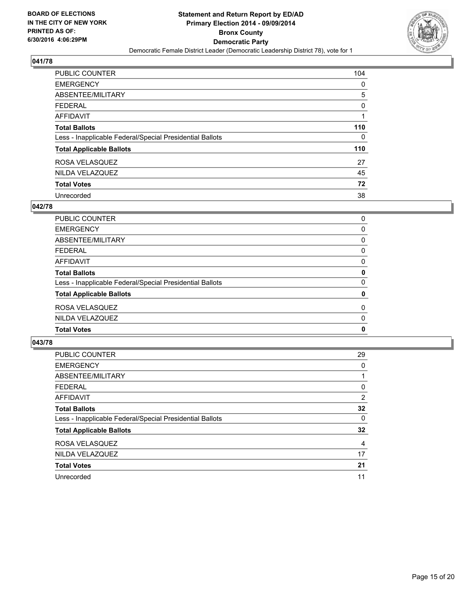

| <b>PUBLIC COUNTER</b>                                    | 104 |
|----------------------------------------------------------|-----|
| <b>EMERGENCY</b>                                         | 0   |
| ABSENTEE/MILITARY                                        | 5   |
| <b>FEDERAL</b>                                           | 0   |
| <b>AFFIDAVIT</b>                                         |     |
| <b>Total Ballots</b>                                     | 110 |
| Less - Inapplicable Federal/Special Presidential Ballots | 0   |
| <b>Total Applicable Ballots</b>                          | 110 |
| ROSA VELASQUEZ                                           | 27  |
| NILDA VELAZQUEZ                                          | 45  |
| <b>Total Votes</b>                                       | 72  |
| Unrecorded                                               | 38  |

## **042/78**

| PUBLIC COUNTER                                           | 0           |
|----------------------------------------------------------|-------------|
| <b>EMERGENCY</b>                                         | 0           |
| <b>ABSENTEE/MILITARY</b>                                 | 0           |
| <b>FEDERAL</b>                                           | 0           |
| <b>AFFIDAVIT</b>                                         | 0           |
| <b>Total Ballots</b>                                     | 0           |
| Less - Inapplicable Federal/Special Presidential Ballots | $\Omega$    |
| <b>Total Applicable Ballots</b>                          | $\mathbf 0$ |
| ROSA VELASQUEZ                                           | 0           |
| NILDA VELAZQUEZ                                          | $\Omega$    |
| <b>Total Votes</b>                                       | 0           |
|                                                          |             |

| <b>PUBLIC COUNTER</b>                                    | 29 |
|----------------------------------------------------------|----|
| <b>EMERGENCY</b>                                         | 0  |
| ABSENTEE/MILITARY                                        |    |
| <b>FEDERAL</b>                                           | 0  |
| AFFIDAVIT                                                | 2  |
| <b>Total Ballots</b>                                     | 32 |
| Less - Inapplicable Federal/Special Presidential Ballots | 0  |
| <b>Total Applicable Ballots</b>                          | 32 |
| ROSA VELASQUEZ                                           | 4  |
| NILDA VELAZQUEZ                                          | 17 |
| <b>Total Votes</b>                                       | 21 |
| Unrecorded                                               | 11 |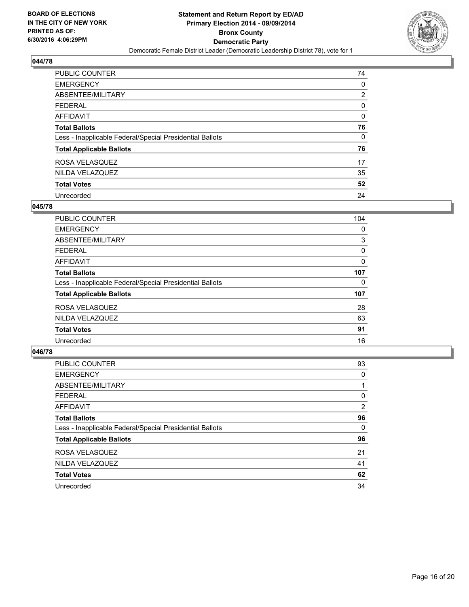

| <b>PUBLIC COUNTER</b>                                    | 74 |
|----------------------------------------------------------|----|
| <b>EMERGENCY</b>                                         | 0  |
| ABSENTEE/MILITARY                                        | 2  |
| <b>FEDERAL</b>                                           | 0  |
| <b>AFFIDAVIT</b>                                         | 0  |
| <b>Total Ballots</b>                                     | 76 |
| Less - Inapplicable Federal/Special Presidential Ballots | 0  |
| <b>Total Applicable Ballots</b>                          | 76 |
| ROSA VELASQUEZ                                           | 17 |
| NILDA VELAZQUEZ                                          | 35 |
| <b>Total Votes</b>                                       | 52 |
| Unrecorded                                               | 24 |

## **045/78**

| PUBLIC COUNTER                                           | 104 |
|----------------------------------------------------------|-----|
| <b>EMERGENCY</b>                                         | 0   |
| ABSENTEE/MILITARY                                        | 3   |
| FEDERAL                                                  | 0   |
| AFFIDAVIT                                                | 0   |
| <b>Total Ballots</b>                                     | 107 |
| Less - Inapplicable Federal/Special Presidential Ballots | 0   |
| <b>Total Applicable Ballots</b>                          | 107 |
| ROSA VELASQUEZ                                           | 28  |
| NILDA VELAZQUEZ                                          | 63  |
| <b>Total Votes</b>                                       | 91  |
| Unrecorded                                               | 16  |

| <b>PUBLIC COUNTER</b>                                    | 93             |
|----------------------------------------------------------|----------------|
| <b>EMERGENCY</b>                                         | 0              |
| ABSENTEE/MILITARY                                        |                |
| <b>FEDERAL</b>                                           | 0              |
| <b>AFFIDAVIT</b>                                         | $\overline{2}$ |
| <b>Total Ballots</b>                                     | 96             |
| Less - Inapplicable Federal/Special Presidential Ballots | 0              |
| <b>Total Applicable Ballots</b>                          | 96             |
| ROSA VELASQUEZ                                           | 21             |
| NILDA VELAZQUEZ                                          | 41             |
| <b>Total Votes</b>                                       | 62             |
| Unrecorded                                               | 34             |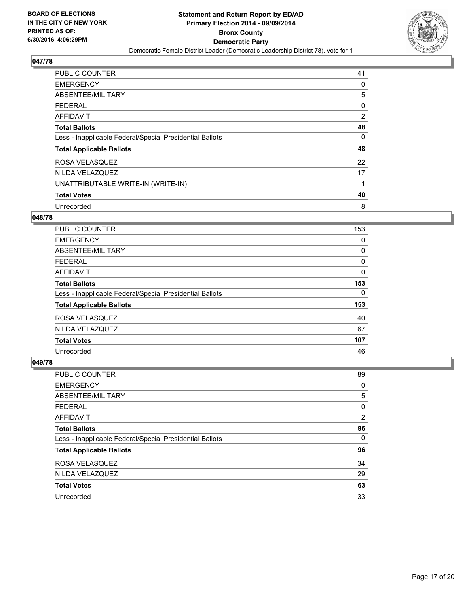

| <b>PUBLIC COUNTER</b>                                    | 41 |
|----------------------------------------------------------|----|
| <b>EMERGENCY</b>                                         | 0  |
| ABSENTEE/MILITARY                                        | 5  |
| <b>FEDERAL</b>                                           | 0  |
| AFFIDAVIT                                                | 2  |
| <b>Total Ballots</b>                                     | 48 |
| Less - Inapplicable Federal/Special Presidential Ballots | 0  |
| <b>Total Applicable Ballots</b>                          | 48 |
| ROSA VELASQUEZ                                           | 22 |
| NILDA VELAZQUEZ                                          | 17 |
| UNATTRIBUTABLE WRITE-IN (WRITE-IN)                       | 1  |
| <b>Total Votes</b>                                       | 40 |
| Unrecorded                                               | 8  |

## **048/78**

| <b>PUBLIC COUNTER</b>                                    | 153 |
|----------------------------------------------------------|-----|
| <b>EMERGENCY</b>                                         | 0   |
| ABSENTEE/MILITARY                                        | 0   |
| <b>FEDERAL</b>                                           | 0   |
| <b>AFFIDAVIT</b>                                         | 0   |
| <b>Total Ballots</b>                                     | 153 |
| Less - Inapplicable Federal/Special Presidential Ballots | 0   |
| <b>Total Applicable Ballots</b>                          | 153 |
| ROSA VELASQUEZ                                           | 40  |
| NILDA VELAZQUEZ                                          | 67  |
| <b>Total Votes</b>                                       | 107 |
| Unrecorded                                               | 46  |

| PUBLIC COUNTER                                           | 89 |
|----------------------------------------------------------|----|
| <b>EMERGENCY</b>                                         | 0  |
| ABSENTEE/MILITARY                                        | 5  |
| <b>FEDERAL</b>                                           | 0  |
| AFFIDAVIT                                                | 2  |
| <b>Total Ballots</b>                                     | 96 |
| Less - Inapplicable Federal/Special Presidential Ballots | 0  |
| <b>Total Applicable Ballots</b>                          | 96 |
| ROSA VELASQUEZ                                           | 34 |
| NILDA VELAZQUEZ                                          | 29 |
| <b>Total Votes</b>                                       | 63 |
| Unrecorded                                               | 33 |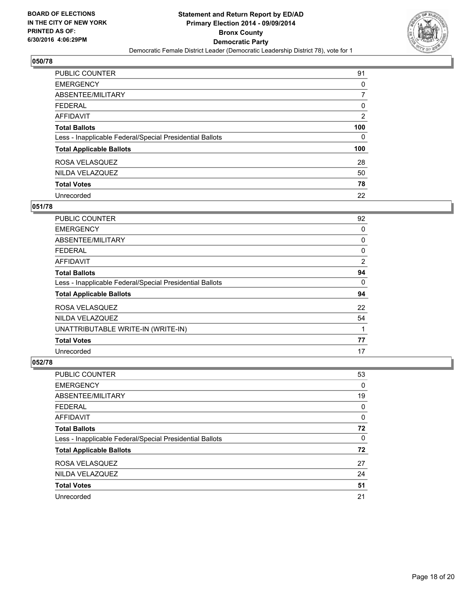

| <b>PUBLIC COUNTER</b>                                    | 91             |
|----------------------------------------------------------|----------------|
| <b>EMERGENCY</b>                                         | 0              |
| ABSENTEE/MILITARY                                        |                |
| <b>FEDERAL</b>                                           | 0              |
| <b>AFFIDAVIT</b>                                         | $\overline{2}$ |
| <b>Total Ballots</b>                                     | 100            |
| Less - Inapplicable Federal/Special Presidential Ballots | 0              |
| <b>Total Applicable Ballots</b>                          | 100            |
| ROSA VELASQUEZ                                           | 28             |
| NILDA VELAZQUEZ                                          | 50             |
| <b>Total Votes</b>                                       | 78             |
| Unrecorded                                               | 22             |

## **051/78**

| <b>PUBLIC COUNTER</b>                                    | 92 |
|----------------------------------------------------------|----|
| <b>EMERGENCY</b>                                         | 0  |
| ABSENTEE/MILITARY                                        | 0  |
| <b>FEDERAL</b>                                           | 0  |
| AFFIDAVIT                                                | 2  |
| <b>Total Ballots</b>                                     | 94 |
| Less - Inapplicable Federal/Special Presidential Ballots | 0  |
| <b>Total Applicable Ballots</b>                          | 94 |
| ROSA VELASQUEZ                                           | 22 |
| NILDA VELAZQUEZ                                          | 54 |
| UNATTRIBUTABLE WRITE-IN (WRITE-IN)                       |    |
| <b>Total Votes</b>                                       | 77 |
| Unrecorded                                               | 17 |

| <b>PUBLIC COUNTER</b>                                    | 53 |
|----------------------------------------------------------|----|
| <b>EMERGENCY</b>                                         | 0  |
| ABSENTEE/MILITARY                                        | 19 |
| FEDERAL                                                  | 0  |
| AFFIDAVIT                                                | 0  |
| <b>Total Ballots</b>                                     | 72 |
| Less - Inapplicable Federal/Special Presidential Ballots | 0  |
| <b>Total Applicable Ballots</b>                          | 72 |
| ROSA VELASQUEZ                                           | 27 |
| NILDA VELAZQUEZ                                          | 24 |
| <b>Total Votes</b>                                       | 51 |
| Unrecorded                                               | 21 |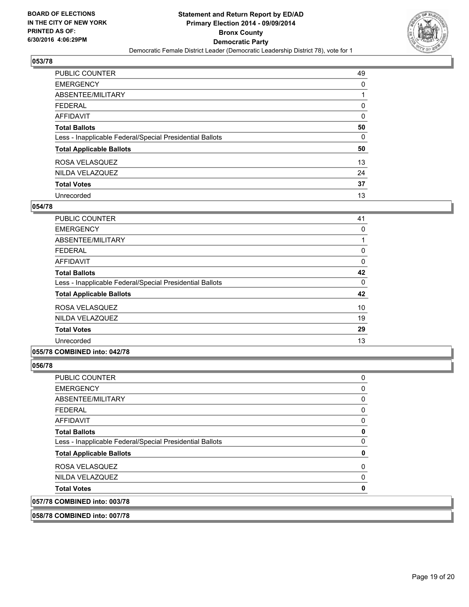

| <b>PUBLIC COUNTER</b>                                    | 49 |
|----------------------------------------------------------|----|
| <b>EMERGENCY</b>                                         | 0  |
| ABSENTEE/MILITARY                                        |    |
| <b>FEDERAL</b>                                           | 0  |
| <b>AFFIDAVIT</b>                                         | 0  |
| <b>Total Ballots</b>                                     | 50 |
| Less - Inapplicable Federal/Special Presidential Ballots | 0  |
| <b>Total Applicable Ballots</b>                          | 50 |
| ROSA VELASQUEZ                                           | 13 |
| NILDA VELAZQUEZ                                          | 24 |
| <b>Total Votes</b>                                       | 37 |
| Unrecorded                                               | 13 |

## **054/78**

| <b>PUBLIC COUNTER</b>                                    | 41 |
|----------------------------------------------------------|----|
| <b>EMERGENCY</b>                                         | 0  |
| ABSENTEE/MILITARY                                        |    |
| <b>FEDERAL</b>                                           | 0  |
| AFFIDAVIT                                                | 0  |
| <b>Total Ballots</b>                                     | 42 |
| Less - Inapplicable Federal/Special Presidential Ballots | 0  |
| <b>Total Applicable Ballots</b>                          | 42 |
| ROSA VELASQUEZ                                           | 10 |
| NILDA VELAZQUEZ                                          | 19 |
| <b>Total Votes</b>                                       | 29 |
| Unrecorded                                               | 13 |
|                                                          |    |

## **055/78 COMBINED into: 042/78**

**056/78** 

| <b>PUBLIC COUNTER</b>                                    | 0 |
|----------------------------------------------------------|---|
| <b>EMERGENCY</b>                                         | 0 |
| ABSENTEE/MILITARY                                        | 0 |
| <b>FEDERAL</b>                                           | 0 |
| AFFIDAVIT                                                | 0 |
| <b>Total Ballots</b>                                     | 0 |
| Less - Inapplicable Federal/Special Presidential Ballots | 0 |
| <b>Total Applicable Ballots</b>                          | 0 |
| ROSA VELASQUEZ                                           | 0 |
| NILDA VELAZQUEZ                                          | 0 |
| <b>Total Votes</b>                                       | 0 |
| 057/78 COMBINED into: 003/78                             |   |

**058/78 COMBINED into: 007/78**